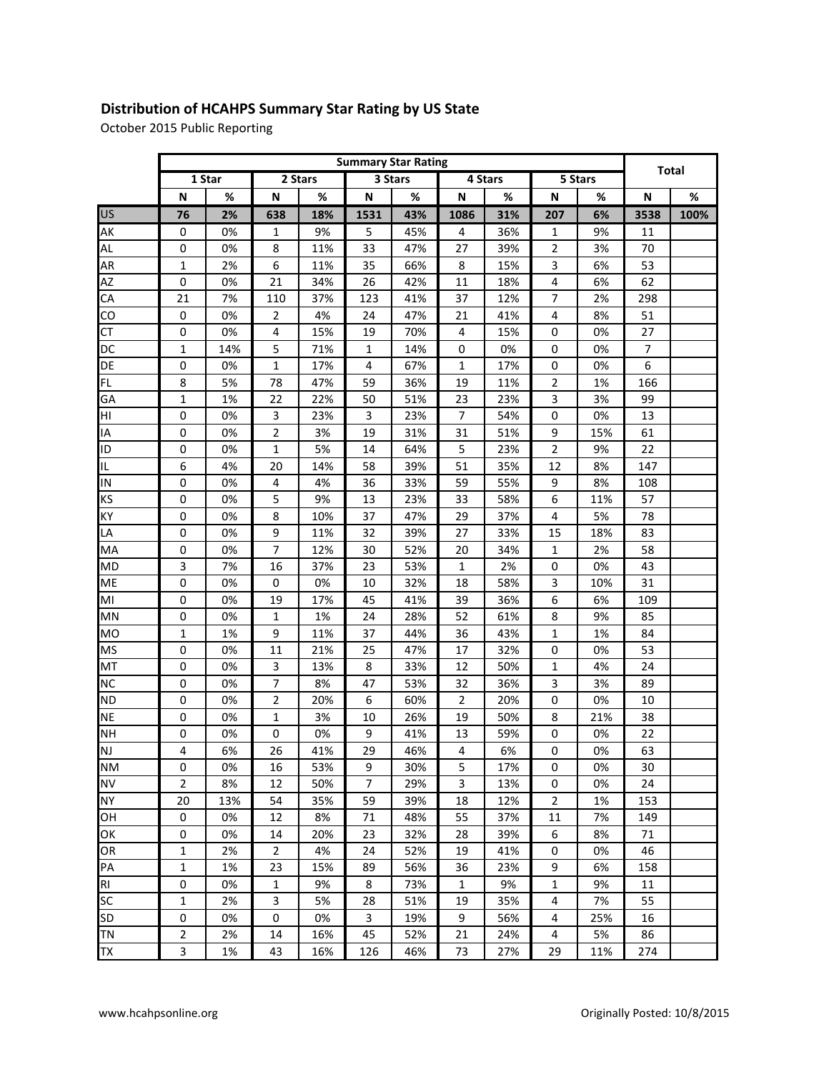## **Distribution of HCAHPS Summary Star Rating by US State**

October 2015 Public Reporting

|           | <b>Summary Star Rating</b> |        |                  |     |                |     |                |      |                |     |              |      |
|-----------|----------------------------|--------|------------------|-----|----------------|-----|----------------|------|----------------|-----|--------------|------|
|           |                            | 1 Star | 2 Stars          |     | 3 Stars        |     | 4 Stars        |      | 5 Stars        |     | <b>Total</b> |      |
|           | N                          | $\%$   | N                | %   | N              | %   | N              | $\%$ | N              | %   | N            | %    |
| <b>US</b> | 76                         | 2%     | 638              | 18% | 1531           | 43% | 1086           | 31%  | 207            | 6%  | 3538         | 100% |
| AK        | 0                          | 0%     | 1                | 9%  | 5              | 45% | 4              | 36%  | $\mathbf{1}$   | 9%  | 11           |      |
| AL        | 0                          | 0%     | 8                | 11% | 33             | 47% | 27             | 39%  | $\overline{2}$ | 3%  | 70           |      |
| AR        | 1                          | 2%     | $\boldsymbol{6}$ | 11% | 35             | 66% | 8              | 15%  | 3              | 6%  | 53           |      |
| AZ        | $\mathbf 0$                | 0%     | 21               | 34% | 26             | 42% | 11             | 18%  | 4              | 6%  | 62           |      |
| CA        | 21                         | 7%     | 110              | 37% | 123            | 41% | 37             | 12%  | 7              | 2%  | 298          |      |
| CO        | 0                          | 0%     | $\overline{2}$   | 4%  | 24             | 47% | 21             | 41%  | 4              | 8%  | 51           |      |
| <b>CT</b> | 0                          | 0%     | 4                | 15% | 19             | 70% | 4              | 15%  | 0              | 0%  | 27           |      |
| DC        | 1                          | 14%    | 5                | 71% | $\mathbf{1}$   | 14% | 0              | 0%   | 0              | 0%  | 7            |      |
| DE        | 0                          | 0%     | 1                | 17% | 4              | 67% | 1              | 17%  | 0              | 0%  | 6            |      |
| <b>FL</b> | 8                          | 5%     | 78               | 47% | 59             | 36% | 19             | 11%  | $\overline{2}$ | 1%  | 166          |      |
| GA        | 1                          | 1%     | 22               | 22% | 50             | 51% | 23             | 23%  | 3              | 3%  | 99           |      |
| HI        | 0                          | 0%     | 3                | 23% | 3              | 23% | $\overline{7}$ | 54%  | $\mathbf 0$    | 0%  | 13           |      |
| IA        | 0                          | 0%     | $\overline{2}$   | 3%  | 19             | 31% | 31             | 51%  | 9              | 15% | 61           |      |
| ID        | 0                          | 0%     | $1\,$            | 5%  | 14             | 64% | 5              | 23%  | $\overline{2}$ | 9%  | 22           |      |
| IL.       | 6                          | 4%     | 20               | 14% | 58             | 39% | 51             | 35%  | 12             | 8%  | 147          |      |
| IN        | 0                          | 0%     | $\overline{4}$   | 4%  | 36             | 33% | 59             | 55%  | 9              | 8%  | 108          |      |
| KS        | 0                          | 0%     | 5                | 9%  | 13             | 23% | 33             | 58%  | 6              | 11% | 57           |      |
| KY        | 0                          | 0%     | 8                | 10% | 37             | 47% | 29             | 37%  | $\overline{4}$ | 5%  | 78           |      |
| LA        | 0                          | 0%     | 9                | 11% | 32             | 39% | 27             | 33%  | 15             | 18% | 83           |      |
| MA        | 0                          | 0%     | $\overline{7}$   | 12% | 30             | 52% | 20             | 34%  | $\mathbf{1}$   | 2%  | 58           |      |
| MD        | 3                          | 7%     | 16               | 37% | 23             | 53% | $\mathbf{1}$   | 2%   | 0              | 0%  | 43           |      |
| ME        | 0                          | 0%     | 0                | 0%  | 10             | 32% | 18             | 58%  | 3              | 10% | 31           |      |
| MI        | 0                          | 0%     | 19               | 17% | 45             | 41% | 39             | 36%  | 6              | 6%  | 109          |      |
| MN        | 0                          | 0%     | 1                | 1%  | 24             | 28% | 52             | 61%  | 8              | 9%  | 85           |      |
| MO        | 1                          | 1%     | 9                | 11% | 37             | 44% | 36             | 43%  | $\mathbf{1}$   | 1%  | 84           |      |
| <b>MS</b> | 0                          | 0%     | 11               | 21% | 25             | 47% | 17             | 32%  | $\mathbf 0$    | 0%  | 53           |      |
| MT        | 0                          | 0%     | 3                | 13% | 8              | 33% | 12             | 50%  | $\mathbf{1}$   | 4%  | 24           |      |
| <b>NC</b> | 0                          | 0%     | $\overline{7}$   | 8%  | 47             | 53% | 32             | 36%  | 3              | 3%  | 89           |      |
| <b>ND</b> | 0                          | 0%     | $\overline{2}$   | 20% | 6              | 60% | 2              | 20%  | 0              | 0%  | 10           |      |
| <b>NE</b> | 0                          | 0%     | $1\,$            | 3%  | 10             | 26% | 19             | 50%  | 8              | 21% | 38           |      |
| <b>NH</b> | 0                          | 0%     | $\mathbf 0$      | 0%  | 9              | 41% | 13             | 59%  | 0              | 0%  | 22           |      |
| <b>NJ</b> | 4                          | 6%     | 26               | 41% | 29             | 46% | 4              | 6%   | 0              | 0%  | 63           |      |
| <b>NM</b> | 0                          | 0%     | 16               | 53% | 9              | 30% | 5              | 17%  | 0              | 0%  | 30           |      |
| <b>NV</b> | 2                          | 8%     | 12               | 50% | $\overline{7}$ | 29% | 3              | 13%  | $\pmb{0}$      | 0%  | 24           |      |
| <b>NY</b> | 20                         | 13%    | 54               | 35% | 59             | 39% | 18             | 12%  | $\overline{2}$ | 1%  | 153          |      |
| OH        | $\pmb{0}$                  | 0%     | 12               | 8%  | 71             | 48% | 55             | 37%  | 11             | 7%  | 149          |      |
| ОK        | $\boldsymbol{0}$           | 0%     | 14               | 20% | 23             | 32% | 28             | 39%  | 6              | 8%  | 71           |      |
| OR        | 1                          | 2%     | $\overline{2}$   | 4%  | 24             | 52% | 19             | 41%  | 0              | 0%  | 46           |      |
| PA        | 1                          | 1%     | 23               | 15% | 89             | 56% | 36             | 23%  | 9              | 6%  | 158          |      |
| RI        | 0                          | 0%     | $\mathbf 1$      | 9%  | 8              | 73% | $\mathbf{1}$   | 9%   | $\mathbf{1}$   | 9%  | 11           |      |
| <b>SC</b> | 1                          | 2%     | 3                | 5%  | 28             | 51% | 19             | 35%  | 4              | 7%  | 55           |      |
| <b>SD</b> | 0                          | 0%     | 0                | 0%  | 3              | 19% | 9              | 56%  | 4              | 25% | 16           |      |
| TN        | 2                          | 2%     | 14               | 16% | 45             | 52% | 21             | 24%  | 4              | 5%  | 86           |      |
| <b>TX</b> | 3                          | 1%     | 43               | 16% | 126            | 46% | 73             | 27%  | 29             | 11% | 274          |      |